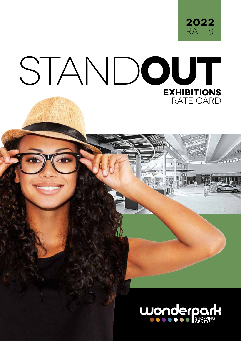

## STAND**OUT EXHIBITIONS** RATE CARD

or bookings please contact: MMATEFO MOFOKENG mmofokeng1@broll.com 012 549 1690

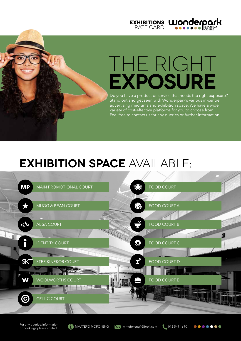

# THE RIGHT **EXPOSURE**

Do you have a product or service that needs the right exposure? Stand out and get seen with Wonderpark's various in-centre advertising mediums and exhibition space. We have a wide variety of cost-effective platforms for you to choose from. Feel free to contact us for any queries or further information.

### **EXHIBITION SPACE** AVAILABLE:



For any queries, information For any queries, information<br>or bookings please contact: **MMATEFO MOFOKENG** MMATEMENT mmofokeng1@broll.com 012 549 1690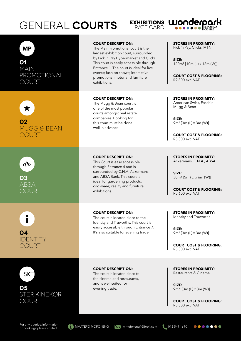### **GENERAL COURTS**



### **MP**

**01** MAIN **PROMOTIONAL** COURT



**02** MUGG & BEAN COURT



**03** ABSA COURT



### **COURT DESCRIPTION:**

The Main Promotional court is the largest exhibition court, surrounded by Pick 'n Pay Hypermarket and Clicks. This court is easily accessible through Entrance 1. The court is ideal for live events; fashion shows; interactive promotions; motor and furniture exhibitions.

#### **COURT DESCRIPTION:**

The Mugg & Bean court is one of the most popular courts amongst real estate companies. Booking for this court must be done well in advance.

### **COURT DESCRIPTION:**

This Court is easy accessible through Entrance 4 and is surrounded by C.N.A, Ackermans and ABSA Bank. This court is ideal for gardening products; cookware; reality and furniture exhibitions.

#### **COURT DESCRIPTION:**

The court is located close to the Identity and Truworths. This court is easily accessible through Entrance 7. It's also suitable for evening trade





**COURT DESCRIPTION:**

The court is located close to the cinema and restaurants, and is well suited for evening trade.

**STORES IN PROXIMITY:** Pick 'n Pay, Clicks, MTN

**SIZE:** 120m² [10m (L) x 12m (W)]

**COURT COST & FLOORING:** R9 800 excl VAT

**STORES IN PROXIMITY:** American Swiss, Foschini Mugg & Bean

**SIZE:** 9m² [3m (L) x 3m (W)]

**COURT COST & FLOORING:** R5 300 excl VAT

**STORES IN PROXIMITY:** Ackermans, C.N.A., ABSA

**SIZE:** 30m² [5m (L) x 6m (W)]

**COURT COST & FLOORING:** R5 600 excl VAT

**STORES IN PROXIMITY:** Identity and Truworths

**SIZE:** 9m² [3m (L) x 3m (W)]

**COURT COST & FLOORING:** R5 300 excl VAT

**STORES IN PROXIMITY:** Restaurants & Cinema

**SIZE:** 9m² [3m (L) x 3m (W)]

**COURT COST & FLOORING:** R5 300 excl VAT

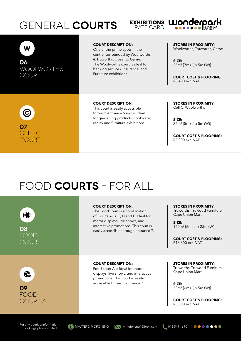### GENERAL **COURTS** EXHIBITIONS **WONDERPOLI**





**06** WOOLWORTHS COURT

#### **COURT DESCRIPTION:**

One of the prime spots in the centre, surrounded by Woolworths & Truworths; closer to Game. The Woolworths court is ideal for banking services, Insurance, and Furniture exhibitions

**STORES IN PROXIMITY:** Woolworths, Truworths, Game

**SIZE:** 35m² [7m (L) x 5m (W)]

**COURT COST & FLOORING:** R8 400 excl VAT



#### **COURT DESCRIPTION:**

This court is easily accessible through entrance 5 and is ideal for gardening products; cookware; reality and furniture exhibitions.

**STORES IN PROXIMITY:** Cell C, Woolworths

**SIZE:** 25m² [5m (L) x 5m (W)]

**COURT COST & FLOORING:** R5 300 excl VAT

### FOOD **COURTS** - FOR ALL

**COURT DESCRIPTION: STORES IN PROXIMITY:** Truworths, Truwood Furniture, The Food court is a combination  $\bullet$ Cape Union Mart of Courts A, B, C, D and E. Ideal for motor displays, live shows, and **SIZE:** interactive promotions. This court is 150m² [6m (L) x 25m (W)] **08** easily accessible through entrance 7. FOOD **COURT COST & FLOORING:** COURT R16 600 excl VAT **COURT DESCRIPTION: STORES IN PROXIMITY:** Truworths, Truwood Furniture, Food court A is ideal for motor Cape Union Mart ෯ displays, live shows, and interactive promotions. This court is easily accessible through entrance 7. **SIZE: 09** 30m² [6m (L) x 5m (W)] FOOD **COURT COST & FLOORING:** COURT A R5 800 excl VAT

For any queries, information For any queries, information<br>or bookings please contact: MMATEFO MOFOKENG MMATEGO mooking1@broll.com 012 549 1690



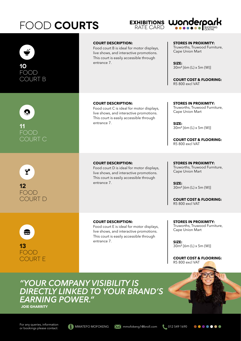## FOOD **COURTS** EXHIBITIONS **WONDERPORK**





*"YOUR COMPANY VISIBILITY IS DIRECTLY LINKED TO YOUR BRAND'S EARNING POWER."*

**JOIE GHARRITY**

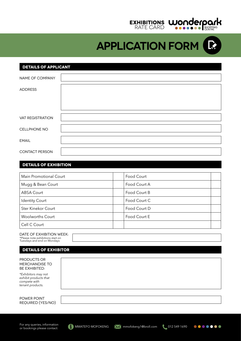### **EXHIBITIONS** RATE CARD

**APPLICATION FORM**

### **DETAILS OF APPLICANT**

| NAME OF COMPANY  |  |
|------------------|--|
| <b>ADDRESS</b>   |  |
|                  |  |
|                  |  |
| VAT REGISTRATION |  |
| CELLPHONE NO     |  |
| <b>EMAIL</b>     |  |
| CONTACT PERSON   |  |

### **DETAILS OF EXHIBITION**

| Main Promotional Court  | Food Court   |
|-------------------------|--------------|
| Mugg & Bean Court       | Food Court A |
| ABSA Court              | Food Court B |
| <b>Identity Court</b>   | Food Court C |
| Ster Kinekor Court      | Food Court D |
| <b>Woolworths Court</b> | Food Court E |
| Cell C Court            |              |

### DATE OF EXHIBITION WEEK:

\*Please note exhibitions start on Tuesdays and end on Mondays

### **details of exhibitor**

| PRODUCTS OR<br><b>MERCHANDISE TO</b><br><b>BE EXHIBITED:</b>                     |  |
|----------------------------------------------------------------------------------|--|
| *Exhibitors may not<br>exhibit products that<br>compete with<br>tenant products. |  |
|                                                                                  |  |
| POWER POINT<br>REQUIRED (YES/NO)                                                 |  |

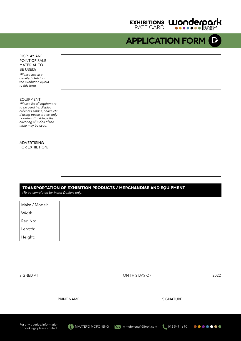

**APPLICATION FORM**

DISPLAY AND POINT OF SALE MATERIAL TO BE USED:

*\*Please attach a detailed sketch of the exhibition layout to this form*

#### EQUIPMENT:

*\*Please list all equipment to be used i.e. display cabinets, tables, chairs etc. If using trestle tables, only floor-length tablecloths covering all sides of the table may be used.*

**ADVERTISING** FOR EXHIBTION:

### **transportation of exhibition products / merchandise and equipment** *(To be completed by Motor Dealers only)*

| Make / Model: |  |
|---------------|--|
| Width:        |  |
| Reg No:       |  |
| Length:       |  |
| $ $ Height:   |  |

| SIGNED AT                                                   |            | ON THIS DAY OF THE CONSTRUCTION OF THE CONSTRUCTION OF THE CONSTRUCTION OF THE CONSTRUCTION OF THE CONSTRUCTION |                  | 2022                |  |
|-------------------------------------------------------------|------------|-----------------------------------------------------------------------------------------------------------------|------------------|---------------------|--|
|                                                             |            |                                                                                                                 |                  |                     |  |
|                                                             | PRINT NAME |                                                                                                                 | <b>SIGNATURE</b> |                     |  |
|                                                             |            |                                                                                                                 |                  |                     |  |
| For any queries, information<br>or bookings please contact: |            | MMATEFO MOFOKENG Momofokeng1@broll.com                                                                          |                  | 012 549 1690 000000 |  |